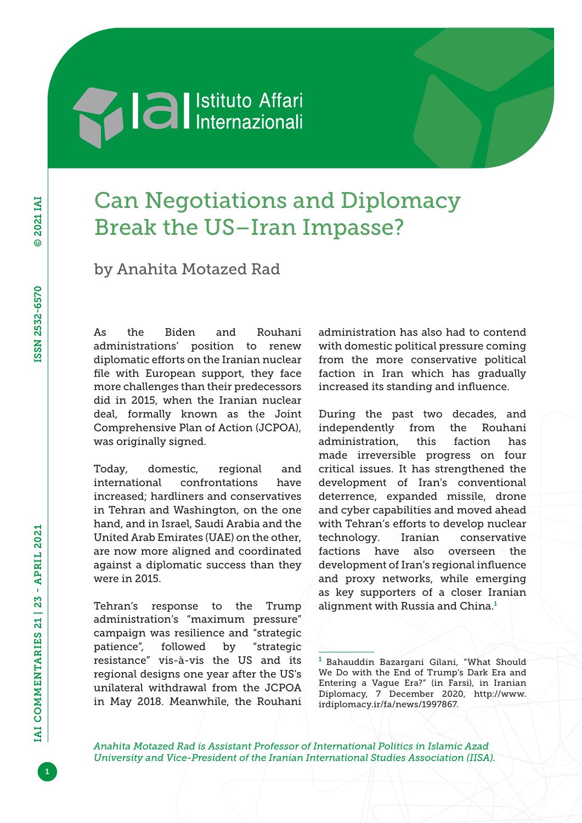## **Machimed Setter** Internazionali

## Can Negotiations and Diplomacy Break the US–Iran Impasse?

by Anahita Motazed Rad

As the Biden and Rouhani administrations' position to renew diplomatic efforts on the Iranian nuclear file with European support, they face more challenges than their predecessors did in 2015, when the Iranian nuclear deal, formally known as the Joint Comprehensive Plan of Action (JCPOA), was originally signed.

Today, domestic, regional and international confrontations have increased; hardliners and conservatives in Tehran and Washington, on the one hand, and in Israel, Saudi Arabia and the United Arab Emirates (UAE) on the other, are now more aligned and coordinated against a diplomatic success than they were in 2015.

Tehran's response to the Trump administration's "maximum pressure" campaign was resilience and "strategic patience", followed by "strategic resistance" vis-à-vis the US and its regional designs one year after the US's unilateral withdrawal from the JCPOA in May 2018. Meanwhile, the Rouhani administration has also had to contend with domestic political pressure coming from the more conservative political faction in Iran which has gradually increased its standing and influence.

During the past two decades, and independently from the Rouhani administration, this faction has made irreversible progress on four critical issues. It has strengthened the development of Iran's conventional deterrence, expanded missile, drone and cyber capabilities and moved ahead with Tehran's efforts to develop nuclear technology. Iranian conservative factions have also overseen the development of Iran's regional influence and proxy networks, while emerging as key supporters of a closer Iranian alignment with Russia and China.<sup>1</sup>

<sup>1</sup> Bahauddin Bazargani Gilani, "What Should We Do with the End of Trump's Dark Era and Entering a Vague Era?" (in Farsi), in Iranian Diplomacy, 7 December 2020, [http://www.](http://www.irdiplomacy.ir/fa/news/1997867) [irdiplomacy.ir/fa/news/1997867](http://www.irdiplomacy.ir/fa/news/1997867).

*Anahita Motazed Rad is Assistant Professor of International Politics in Islamic Azad University and Vice-President of the Iranian International Studies Association (IISA).*

1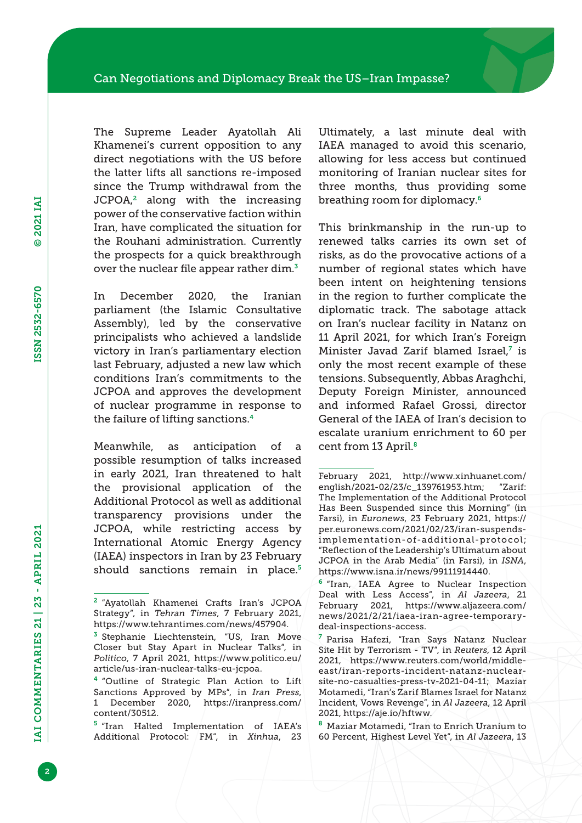The Supreme Leader Ayatollah Ali Khamenei's current opposition to any direct negotiations with the US before the latter lifts all sanctions re-imposed since the Trump withdrawal from the  $JCPOA<sup>2</sup>$  along with the increasing power of the conservative faction within Iran, have complicated the situation for the Rouhani administration. Currently the prospects for a quick breakthrough over the nuclear file appear rather dim.<sup>3</sup>

In December 2020, the Iranian parliament (the Islamic Consultative Assembly), led by the conservative principalists who achieved a landslide victory in Iran's parliamentary election last February, adjusted a new law which conditions Iran's commitments to the JCPOA and approves the development of nuclear programme in response to the failure of lifting sanctions.<sup>4</sup>

Meanwhile, as anticipation of a possible resumption of talks increased in early 2021, Iran threatened to halt the provisional application of the Additional Protocol as well as additional transparency provisions under the JCPOA, while restricting access by International Atomic Energy Agency (IAEA) inspectors in Iran by 23 February should sanctions remain in place.<sup>5</sup> Ultimately, a last minute deal with IAEA managed to avoid this scenario, allowing for less access but continued monitoring of Iranian nuclear sites for three months, thus providing some breathing room for diplomacy.<sup>6</sup>

This brinkmanship in the run-up to renewed talks carries its own set of risks, as do the provocative actions of a number of regional states which have been intent on heightening tensions in the region to further complicate the diplomatic track. The sabotage attack on Iran's nuclear facility in Natanz on 11 April 2021, for which Iran's Foreign Minister Javad Zarif blamed Israel,<sup>7</sup> is only the most recent example of these tensions. Subsequently, Abbas Araghchi, Deputy Foreign Minister, announced and informed Rafael Grossi, director General of the IAEA of Iran's decision to escalate uranium enrichment to 60 per cent from 13 April.<sup>8</sup>

<sup>2</sup> "Ayatollah Khamenei Crafts Iran's JCPOA Strategy", in *Tehran Times*, 7 February 2021, <https://www.tehrantimes.com/news/457904>.

<sup>3</sup> Stephanie Liechtenstein, "US, Iran Move Closer but Stay Apart in Nuclear Talks", in *Politico*, 7 April 2021, [https://www.politico.eu/](https://www.politico.eu/article/us-iran-nuclear-talks-eu-jcpoa) [article/us-iran-nuclear-talks-eu-jcpoa.](https://www.politico.eu/article/us-iran-nuclear-talks-eu-jcpoa)

<sup>4</sup> "Outline of Strategic Plan Action to Lift Sanctions Approved by MPs", in *Iran Press*, 1 December 2020, [https://iranpress.com/](https://iranpress.com/content/30512) [content/30512](https://iranpress.com/content/30512).

<sup>5</sup> "Iran Halted Implementation of IAEA's Additional Protocol: FM", in *Xinhua*, 23

February 2021, [http://www.xinhuanet.com/](http://www.xinhuanet.com/english/2021-02/23/c_139761953.htm) [english/2021-02/23/c\\_139761953.htm;](http://www.xinhuanet.com/english/2021-02/23/c_139761953.htm) "Zarif: The Implementation of the Additional Protocol Has Been Suspended since this Morning" (in Farsi), in *Euronews*, 23 February 2021, [https://](https://per.euronews.com/2021/02/23/iran-suspends-implementation-of-additional-protocol) [per.euronews.com/2021/02/23/iran-suspends](https://per.euronews.com/2021/02/23/iran-suspends-implementation-of-additional-protocol)[implementation-of-additional-protocol;](https://per.euronews.com/2021/02/23/iran-suspends-implementation-of-additional-protocol) "Reflection of the Leadership's Ultimatum about JCPOA in the Arab Media" (in Farsi), in *ISNA*, <https://www.isna.ir/news/99111914440>.

<sup>6</sup> "Iran, IAEA Agree to Nuclear Inspection Deal with Less Access", in *Al Jazeera*, 21 February 2021, [https://www.aljazeera.com/](https://www.aljazeera.com/news/2021/2/21/iaea-iran-agree-temporary-deal-inspections-access) [news/2021/2/21/iaea-iran-agree-temporary](https://www.aljazeera.com/news/2021/2/21/iaea-iran-agree-temporary-deal-inspections-access)[deal-inspections-access.](https://www.aljazeera.com/news/2021/2/21/iaea-iran-agree-temporary-deal-inspections-access)

<sup>7</sup> Parisa Hafezi, "Iran Says Natanz Nuclear Site Hit by Terrorism - TV", in *Reuters*, 12 April 2021, [https://www.reuters.com/world/middle](https://www.reuters.com/world/middle-east/iran-reports-incident-natanz-nuclear-site-no-casualties-press-tv-2021-04-11)[east/iran-reports-incident-natanz-nuclear](https://www.reuters.com/world/middle-east/iran-reports-incident-natanz-nuclear-site-no-casualties-press-tv-2021-04-11)[site-no-casualties-press-tv-2021-04-11;](https://www.reuters.com/world/middle-east/iran-reports-incident-natanz-nuclear-site-no-casualties-press-tv-2021-04-11) Maziar Motamedi, "Iran's Zarif Blames Israel for Natanz Incident, Vows Revenge", in *Al Jazeera*, 12 April 2021, [https://aje.io/hftww.](https://aje.io/hftww)

<sup>8</sup> Maziar Motamedi, "Iran to Enrich Uranium to 60 Percent, Highest Level Yet", in *Al Jazeera*, 13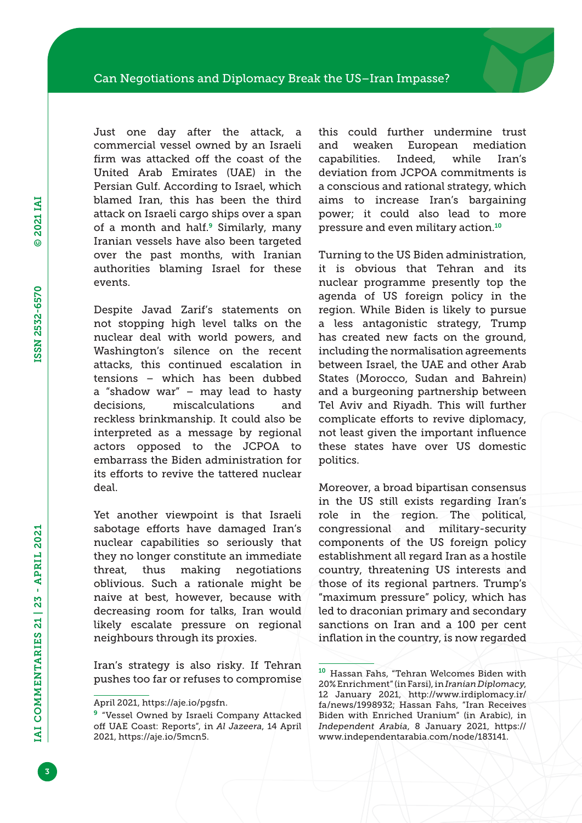Just one day after the attack, a commercial vessel owned by an Israeli firm was attacked off the coast of the United Arab Emirates (UAE) in the Persian Gulf. According to Israel, which blamed Iran, this has been the third attack on Israeli cargo ships over a span of a month and half.<sup>9</sup> Similarly, many Iranian vessels have also been targeted over the past months, with Iranian authorities blaming Israel for these events.

Despite Javad Zarif's statements on not stopping high level talks on the nuclear deal with world powers, and Washington's silence on the recent attacks, this continued escalation in tensions – which has been dubbed a "shadow war" – may lead to hasty decisions, miscalculations and reckless brinkmanship. It could also be interpreted as a message by regional actors opposed to the JCPOA to embarrass the Biden administration for its efforts to revive the tattered nuclear deal.

Yet another viewpoint is that Israeli sabotage efforts have damaged Iran's nuclear capabilities so seriously that they no longer constitute an immediate threat, thus making negotiations oblivious. Such a rationale might be naive at best, however, because with decreasing room for talks, Iran would likely escalate pressure on regional neighbours through its proxies.

Iran's strategy is also risky. If Tehran pushes too far or refuses to compromise this could further undermine trust and weaken European mediation capabilities. Indeed, while Iran's deviation from JCPOA commitments is a conscious and rational strategy, which aims to increase Iran's bargaining power; it could also lead to more pressure and even military action.<sup>10</sup>

Turning to the US Biden administration, it is obvious that Tehran and its nuclear programme presently top the agenda of US foreign policy in the region. While Biden is likely to pursue a less antagonistic strategy, Trump has created new facts on the ground, including the normalisation agreements between Israel, the UAE and other Arab States (Morocco, Sudan and Bahrein) and a burgeoning partnership between Tel Aviv and Riyadh. This will further complicate efforts to revive diplomacy, not least given the important influence these states have over US domestic politics.

Moreover, a broad bipartisan consensus in the US still exists regarding Iran's role in the region. The political, congressional and military-security components of the US foreign policy establishment all regard Iran as a hostile country, threatening US interests and those of its regional partners. Trump's "maximum pressure" policy, which has led to draconian primary and secondary sanctions on Iran and a 100 per cent inflation in the country, is now regarded

April 2021, [https://aje.io/pgsfn.](https://aje.io/pgsfn)

<sup>&</sup>lt;sup>9</sup> "Vessel Owned by Israeli Company Attacked off UAE Coast: Reports", in *Al Jazeera*, 14 April 2021,<https://aje.io/5mcn5>.

<sup>10</sup> Hassan Fahs, "Tehran Welcomes Biden with 20% Enrichment" (in Farsi), in *Iranian Diplomacy*, 12 January 2021, [http://www.irdiplomacy.ir/](http://www.irdiplomacy.ir/fa/news/1998932) [fa/news/1998932;](http://www.irdiplomacy.ir/fa/news/1998932) Hassan Fahs, "Iran Receives Biden with Enriched Uranium" (in Arabic), in *Independent Arabia*, 8 January 2021, [https://](https://www.independentarabia.com/node/183141) [www.independentarabia.com/node/183141](https://www.independentarabia.com/node/183141).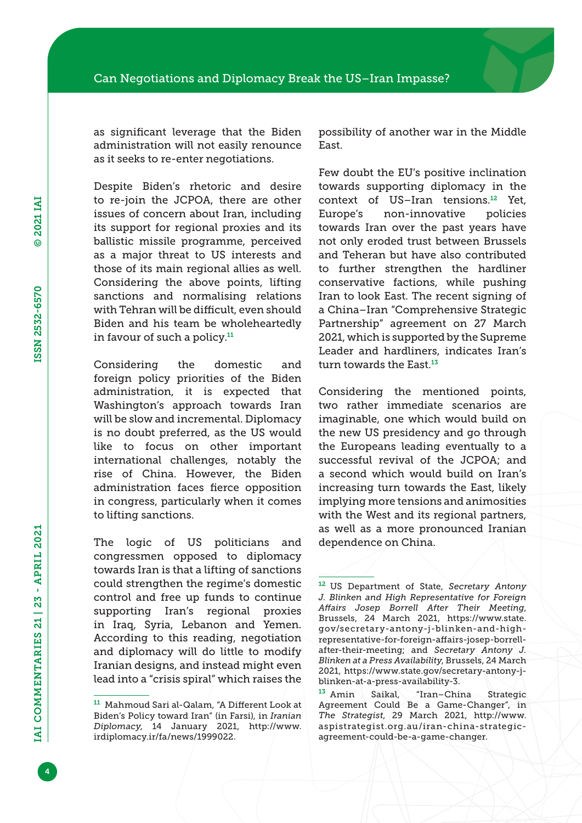as significant leverage that the Biden administration will not easily renounce as it seeks to re-enter negotiations.

Despite Biden's rhetoric and desire to re-join the JCPOA, there are other issues of concern about Iran, including its support for regional proxies and its ballistic missile programme, perceived as a major threat to US interests and those of its main regional allies as well. Considering the above points, lifting sanctions and normalising relations with Tehran will be difficult, even should Biden and his team be wholeheartedly in favour of such a policy.<sup>11</sup>

Considering the domestic and foreign policy priorities of the Biden administration, it is expected that Washington's approach towards Iran will be slow and incremental. Diplomacy is no doubt preferred, as the US would like to focus on other important international challenges, notably the rise of China. However, the Biden administration faces fierce opposition in congress, particularly when it comes to lifting sanctions.

The logic of US politicians and congressmen opposed to diplomacy towards Iran is that a lifting of sanctions could strengthen the regime's domestic control and free up funds to continue supporting Iran's regional proxies in Iraq, Syria, Lebanon and Yemen. According to this reading, negotiation and diplomacy will do little to modify Iranian designs, and instead might even lead into a "crisis spiral" which raises the

possibility of another war in the Middle East.

Few doubt the EU's positive inclination towards supporting diplomacy in the context of US–Iran tensions.<sup>12</sup> Yet, Europe's non-innovative policies towards Iran over the past years have not only eroded trust between Brussels and Teheran but have also contributed to further strengthen the hardliner conservative factions, while pushing Iran to look East. The recent signing of a China–Iran "Comprehensive Strategic Partnership" agreement on 27 March 2021, which is supported by the Supreme Leader and hardliners, indicates Iran's turn towards the East.<sup>13</sup>

Considering the mentioned points, two rather immediate scenarios are imaginable, one which would build on the new US presidency and go through the Europeans leading eventually to a successful revival of the JCPOA; and a second which would build on Iran's increasing turn towards the East, likely implying more tensions and animosities with the West and its regional partners, as well as a more pronounced Iranian dependence on China.

<sup>11</sup> Mahmoud Sari al-Qalam, "A Different Look at Biden's Policy toward Iran" (in Farsi), in *Iranian Diplomacy*, 14 January 2021, [http://www.](http://www.irdiplomacy.ir/fa/news/1999022) [irdiplomacy.ir/fa/news/1999022](http://www.irdiplomacy.ir/fa/news/1999022).

<sup>12</sup> US Department of State, *Secretary Antony J. Blinken and High Representative for Foreign Affairs Josep Borrell After Their Meeting*, Brussels, 24 March 2021, [https://www.state.](https://www.state.gov/secretary-antony-j-blinken-and-high-representative-for-foreign-affairs-josep-borrell-after-their-meeting) [gov/secretary-antony-j-blinken-and-high](https://www.state.gov/secretary-antony-j-blinken-and-high-representative-for-foreign-affairs-josep-borrell-after-their-meeting)[representative-for-foreign-affairs-josep-borrell](https://www.state.gov/secretary-antony-j-blinken-and-high-representative-for-foreign-affairs-josep-borrell-after-their-meeting)[after-their-meeting;](https://www.state.gov/secretary-antony-j-blinken-and-high-representative-for-foreign-affairs-josep-borrell-after-their-meeting) and *Secretary Antony J. Blinken at a Press Availability*, Brussels, 24 March 2021, [https://www.state.gov/secretary-antony-j](https://www.state.gov/secretary-antony-j-blinken-at-a-press-availability-3)[blinken-at-a-press-availability-3.](https://www.state.gov/secretary-antony-j-blinken-at-a-press-availability-3)

<sup>13</sup> Amin Saikal, "Iran–China Strategic Agreement Could Be a Game-Changer", in *The Strategist*, 29 March 2021, [http://www.](http://www.aspistrategist.org.au/iran-china-strategic-agreement-could-be-a-game-changer) [aspistrategist.org.au/iran-china-strategic](http://www.aspistrategist.org.au/iran-china-strategic-agreement-could-be-a-game-changer)[agreement-could-be-a-game-changer.](http://www.aspistrategist.org.au/iran-china-strategic-agreement-could-be-a-game-changer)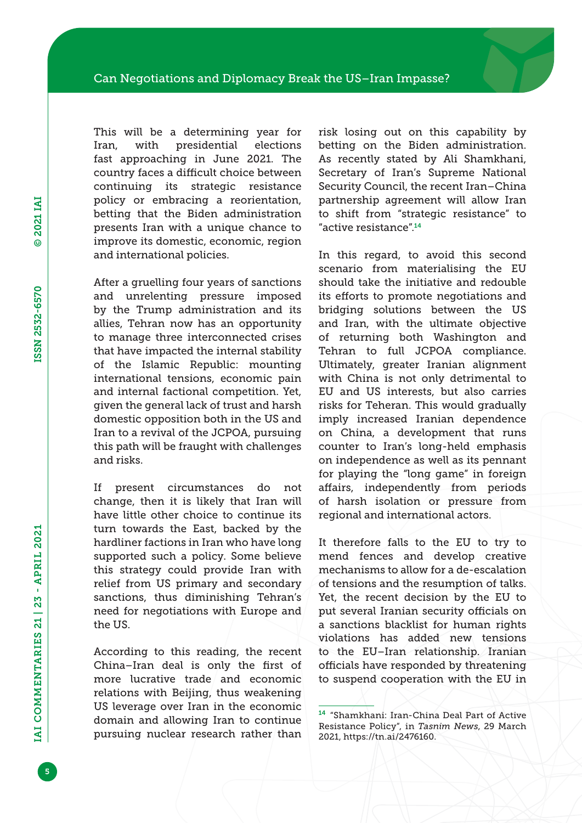This will be a determining year for Iran, with presidential elections fast approaching in June 2021. The country faces a difficult choice between continuing its strategic resistance policy or embracing a reorientation, betting that the Biden administration presents Iran with a unique chance to improve its domestic, economic, region and international policies.

After a gruelling four years of sanctions and unrelenting pressure imposed by the Trump administration and its allies, Tehran now has an opportunity to manage three interconnected crises that have impacted the internal stability of the Islamic Republic: mounting international tensions, economic pain and internal factional competition. Yet, given the general lack of trust and harsh domestic opposition both in the US and Iran to a revival of the JCPOA, pursuing this path will be fraught with challenges and risks.

If present circumstances do not change, then it is likely that Iran will have little other choice to continue its turn towards the East, backed by the hardliner factions in Iran who have long supported such a policy. Some believe this strategy could provide Iran with relief from US primary and secondary sanctions, thus diminishing Tehran's need for negotiations with Europe and the US.

According to this reading, the recent China–Iran deal is only the first of more lucrative trade and economic relations with Beijing, thus weakening US leverage over Iran in the economic domain and allowing Iran to continue pursuing nuclear research rather than risk losing out on this capability by betting on the Biden administration. As recently stated by Ali Shamkhani, Secretary of Iran's Supreme National Security Council, the recent Iran–China partnership agreement will allow Iran to shift from "strategic resistance" to "active resistance".<sup>14</sup>

In this regard, to avoid this second scenario from materialising the EU should take the initiative and redouble its efforts to promote negotiations and bridging solutions between the US and Iran, with the ultimate objective of returning both Washington and Tehran to full JCPOA compliance. Ultimately, greater Iranian alignment with China is not only detrimental to EU and US interests, but also carries risks for Teheran. This would gradually imply increased Iranian dependence on China, a development that runs counter to Iran's long-held emphasis on independence as well as its pennant for playing the "long game" in foreign affairs, independently from periods of harsh isolation or pressure from regional and international actors.

It therefore falls to the EU to try to mend fences and develop creative mechanisms to allow for a de-escalation of tensions and the resumption of talks. Yet, the recent decision by the EU to put several Iranian security officials on a sanctions blacklist for human rights violations has added new tensions to the EU–Iran relationship. Iranian officials have responded by threatening to suspend cooperation with the EU in

<sup>14</sup> "Shamkhani: Iran-China Deal Part of Active Resistance Policy", in *Tasnim News*, 29 March 2021,<https://tn.ai/2476160>.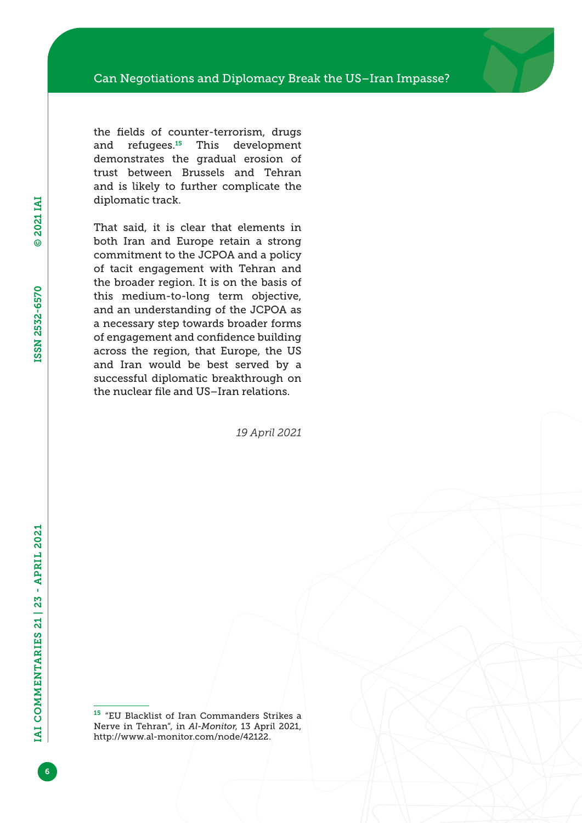the fields of counter-terrorism, drugs and refugees.<sup>15</sup> This development demonstrates the gradual erosion of trust between Brussels and Tehran and is likely to further complicate the diplomatic track.

That said, it is clear that elements in both Iran and Europe retain a strong commitment to the JCPOA and a policy of tacit engagement with Tehran and the broader region. It is on the basis of this medium-to-long term objective, and an understanding of the JCPOA as a necessary step towards broader forms of engagement and confidence building across the region, that Europe, the US and Iran would be best served by a successful diplomatic breakthrough on the nuclear file and US–Iran relations.

*19 April 2021*

<sup>15</sup> "EU Blacklist of Iran Commanders Strikes a Nerve in Tehran", in *Al-Monitor*, 13 April 2021, <http://www.al-monitor.com/node/42122>.